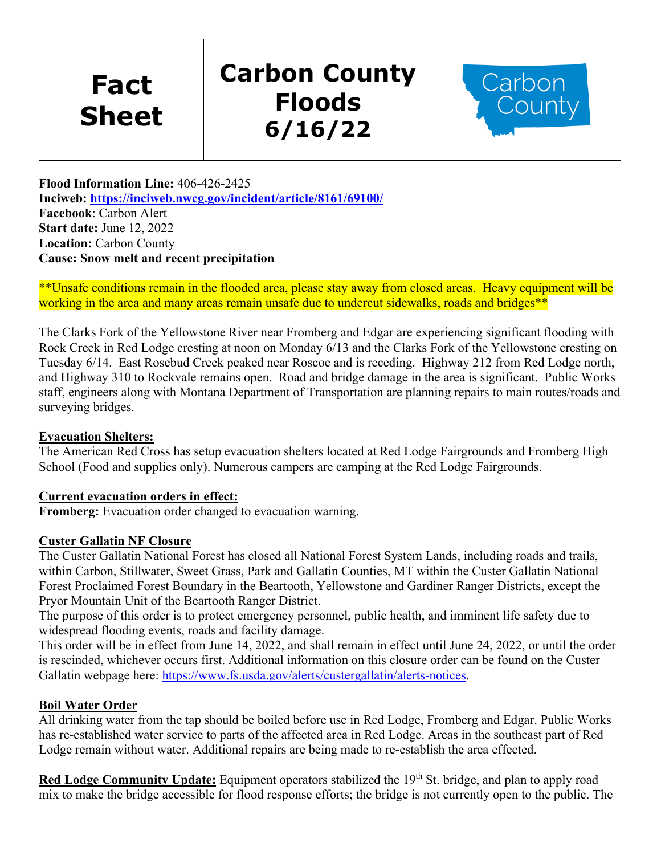**Fact Sheet** 

# **Carbon County Floods 6/16/22**



**Flood Information Line:** 406-426-2425 **Inciweb:<https://inciweb.nwcg.gov/incident/article/8161/69100/> Facebook**: Carbon Alert **Start date:** June 12, 2022 **Location:** Carbon County **Cause: Snow melt and recent precipitation**

\*\*Unsafe conditions remain in the flooded area, please stay away from closed areas. Heavy equipment will be working in the area and many areas remain unsafe due to undercut sidewalks, roads and bridges\*\*

The Clarks Fork of the Yellowstone River near Fromberg and Edgar are experiencing significant flooding with Rock Creek in Red Lodge cresting at noon on Monday 6/13 and the Clarks Fork of the Yellowstone cresting on Tuesday 6/14. East Rosebud Creek peaked near Roscoe and is receding. Highway 212 from Red Lodge north, and Highway 310 to Rockvale remains open. Road and bridge damage in the area is significant. Public Works staff, engineers along with Montana Department of Transportation are planning repairs to main routes/roads and surveying bridges.

## **Evacuation Shelters:**

The American Red Cross has setup evacuation shelters located at Red Lodge Fairgrounds and Fromberg High School (Food and supplies only). Numerous campers are camping at the Red Lodge Fairgrounds.

#### **Current evacuation orders in effect:**

**Fromberg:** Evacuation order changed to evacuation warning.

#### **Custer Gallatin NF Closure**

The Custer Gallatin National Forest has closed all National Forest System Lands, including roads and trails, within Carbon, Stillwater, Sweet Grass, Park and Gallatin Counties, MT within the Custer Gallatin National Forest Proclaimed Forest Boundary in the Beartooth, Yellowstone and Gardiner Ranger Districts, except the Pryor Mountain Unit of the Beartooth Ranger District.

The purpose of this order is to protect emergency personnel, public health, and imminent life safety due to widespread flooding events, roads and facility damage.

This order will be in effect from June 14, 2022, and shall remain in effect until June 24, 2022, or until the order is rescinded, whichever occurs first. Additional information on this closure order can be found on the Custer Gallatin webpage here: [https://www.fs.usda.gov/alerts/custergallatin/alerts-notices.](https://www.fs.usda.gov/alerts/custergallatin/alerts-notices)

## **Boil Water Order**

All drinking water from the tap should be boiled before use in Red Lodge, Fromberg and Edgar. Public Works has re-established water service to parts of the affected area in Red Lodge. Areas in the southeast part of Red Lodge remain without water. Additional repairs are being made to re-establish the area effected.

**Red Lodge Community Update:** Equipment operators stabilized the 19<sup>th</sup> St. bridge, and plan to apply road mix to make the bridge accessible for flood response efforts; the bridge is not currently open to the public. The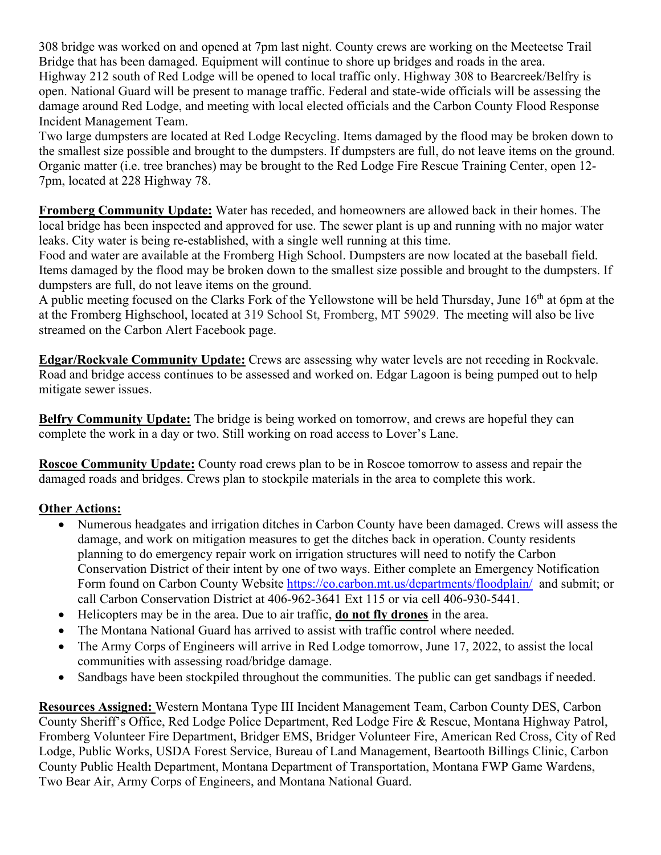308 bridge was worked on and opened at 7pm last night. County crews are working on the Meeteetse Trail Bridge that has been damaged. Equipment will continue to shore up bridges and roads in the area. Highway 212 south of Red Lodge will be opened to local traffic only. Highway 308 to Bearcreek/Belfry is open. National Guard will be present to manage traffic. Federal and state-wide officials will be assessing the damage around Red Lodge, and meeting with local elected officials and the Carbon County Flood Response Incident Management Team.

Two large dumpsters are located at Red Lodge Recycling. Items damaged by the flood may be broken down to the smallest size possible and brought to the dumpsters. If dumpsters are full, do not leave items on the ground. Organic matter (i.e. tree branches) may be brought to the Red Lodge Fire Rescue Training Center, open 12- 7pm, located at 228 Highway 78.

**Fromberg Community Update:** Water has receded, and homeowners are allowed back in their homes. The local bridge has been inspected and approved for use. The sewer plant is up and running with no major water leaks. City water is being re-established, with a single well running at this time.

Food and water are available at the Fromberg High School. Dumpsters are now located at the baseball field. Items damaged by the flood may be broken down to the smallest size possible and brought to the dumpsters. If dumpsters are full, do not leave items on the ground.

A public meeting focused on the Clarks Fork of the Yellowstone will be held Thursday, June 16<sup>th</sup> at 6pm at the at the Fromberg Highschool, located at 319 School St, Fromberg, MT 59029. The meeting will also be live streamed on the Carbon Alert Facebook page.

**Edgar/Rockvale Community Update:** Crews are assessing why water levels are not receding in Rockvale. Road and bridge access continues to be assessed and worked on. Edgar Lagoon is being pumped out to help mitigate sewer issues.

**Belfry Community Update:** The bridge is being worked on tomorrow, and crews are hopeful they can complete the work in a day or two. Still working on road access to Lover's Lane.

**Roscoe Community Update:** County road crews plan to be in Roscoe tomorrow to assess and repair the damaged roads and bridges. Crews plan to stockpile materials in the area to complete this work.

# **Other Actions:**

- Numerous headgates and irrigation ditches in Carbon County have been damaged. Crews will assess the damage, and work on mitigation measures to get the ditches back in operation. County residents planning to do emergency repair work on irrigation structures will need to notify the Carbon Conservation District of their intent by one of two ways. Either complete an Emergency Notification Form found on Carbon County Website [https://co.carbon.mt.us/departments/floodplain/](https://gcc02.safelinks.protection.outlook.com/?url=https%3A%2F%2Fco.carbon.mt.us%2Fdepartments%2Ffloodplain%2F&data=05%7C01%7C%7C4075c7ea0512402ef66808da4fd1833d%7Ced5b36e701ee4ebc867ee03cfa0d4697%7C0%7C0%7C637910058509179747%7CUnknown%7CTWFpbGZsb3d8eyJWIjoiMC4wLjAwMDAiLCJQIjoiV2luMzIiLCJBTiI6Ik1haWwiLCJXVCI6Mn0%3D%7C3000%7C%7C%7C&sdata=tvMdZsasjdTYp2AsnovqHAV%2B1fvd60y3E9mHK7O61%2Fk%3D&reserved=0) and submit; or call Carbon Conservation District at 406-962-3641 Ext 115 or via cell 406-930-5441.
- Helicopters may be in the area. Due to air traffic, **do not fly drones** in the area.
- The Montana National Guard has arrived to assist with traffic control where needed.
- The Army Corps of Engineers will arrive in Red Lodge tomorrow, June 17, 2022, to assist the local communities with assessing road/bridge damage.
- Sandbags have been stockpiled throughout the communities. The public can get sandbags if needed.

**Resources Assigned:** Western Montana Type III Incident Management Team, Carbon County DES, Carbon County Sheriff's Office, Red Lodge Police Department, Red Lodge Fire & Rescue, Montana Highway Patrol, Fromberg Volunteer Fire Department, Bridger EMS, Bridger Volunteer Fire, American Red Cross, City of Red Lodge, Public Works, USDA Forest Service, Bureau of Land Management, Beartooth Billings Clinic, Carbon County Public Health Department, Montana Department of Transportation, Montana FWP Game Wardens, Two Bear Air, Army Corps of Engineers, and Montana National Guard.